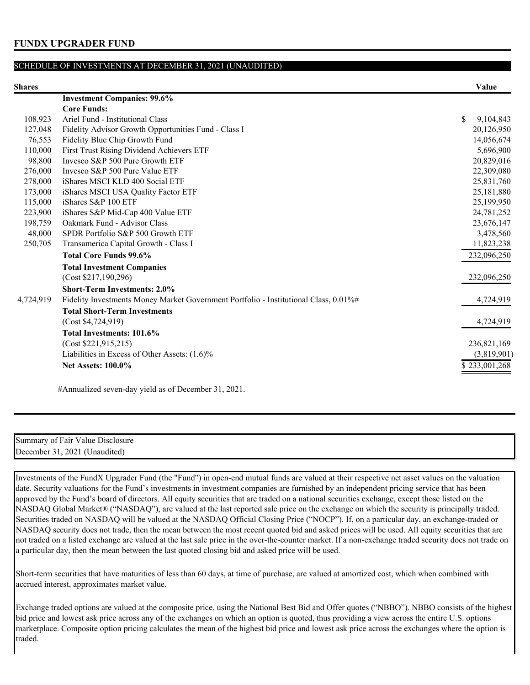| я<br><br>. . |  |
|--------------|--|
|--------------|--|

| Shares    |                                                                                      | Value                      |
|-----------|--------------------------------------------------------------------------------------|----------------------------|
|           | <b>Investment Companies: 99.6%</b>                                                   |                            |
|           | <b>Core Funds:</b>                                                                   |                            |
| 108,923   | Ariel Fund - Institutional Class                                                     | <sup>\$</sup><br>9,104,843 |
| 127,048   | Fidelity Advisor Growth Opportunities Fund - Class I                                 | 20,126,950                 |
| 76,553    | Fidelity Blue Chip Growth Fund                                                       | 14,056,674                 |
| 110,000   | First Trust Rising Dividend Achievers ETF                                            | 5,696,900                  |
| 98,800    | Invesco S&P 500 Pure Growth ETF                                                      | 20,829,016                 |
| 276,000   | Invesco S&P 500 Pure Value ETF                                                       | 22,309,080                 |
| 278,000   | iShares MSCI KLD 400 Social ETF                                                      | 25,831,760                 |
| 173,000   | iShares MSCI USA Quality Factor ETF                                                  | 25,181,880                 |
| 115,000   | iShares S&P 100 ETF                                                                  | 25,199,950                 |
| 223,900   | iShares S&P Mid-Cap 400 Value ETF                                                    | 24,781,252                 |
| 198,759   | Oakmark Fund - Advisor Class                                                         | 23,676,147                 |
| 48,000    | SPDR Portfolio S&P 500 Growth ETF                                                    | 3,478,560                  |
| 250,705   | Transamerica Capital Growth - Class I                                                | 11,823,238                 |
|           | <b>Total Core Funds 99.6%</b>                                                        | 232,096,250                |
|           | <b>Total Investment Companies</b>                                                    |                            |
|           | (Cost \$217,190,296)                                                                 | 232,096,250                |
|           | <b>Short-Term Investments: 2.0%</b>                                                  |                            |
| 4,724,919 | Fidelity Investments Money Market Government Portfolio - Institutional Class, 0.01%# | 4,724,919                  |
|           | <b>Total Short-Term Investments</b>                                                  |                            |
|           | (Cost \$4,724,919)                                                                   | 4,724,919                  |
|           | Total Investments: 101.6%                                                            |                            |
|           | (Cost \$221,915,215)                                                                 | 236,821,169                |
|           | Liabilities in Excess of Other Assets: (1.6)%                                        | (3,819,901)                |
|           | <b>Net Assets: 100.0%</b>                                                            | \$233,001,268              |
|           |                                                                                      |                            |

#Annualized seven-day yield as of December 31, 2021.

Summary of Fair Value Disclosure December 31, 2021 (Unaudited)

Investments of the FundX Upgrader Fund (the "Fund") in open-end mutual funds are valued at their respective net asset values on the valuation date. Security valuations for the Fund's investments in investment companies are furnished by an independent pricing service that has been approved by the Fund's board of directors. All equity securities that are traded on a national securities exchange, except those listed on the NASDAQ Global Market® ("NASDAQ"), are valued at the last reported sale price on the exchange on which the security is principally traded. Securities traded on NASDAQ will be valued at the NASDAQ Official Closing Price ("NOCP"). If, on a particular day, an exchange-traded or NASDAQ security does not trade, then the mean between the most recent quoted bid and asked prices will be used. All equity securities that are not traded on a listed exchange are valued at the last sale price in the over-the-counter market. If a non-exchange traded security does not trade on a particular day, then the mean between the last quoted closing bid and asked price will be used.

Short-term securities that have maturities of less than 60 days, at time of purchase, are valued at amortized cost, which when combined with accrued interest, approximates market value.

Exchange traded options are valued at the composite price, using the National Best Bid and Offer quotes ("NBBO"). NBBO consists of the highest bid price and lowest ask price across any of the exchanges on which an option is quoted, thus providing a view across the entire U.S. options marketplace. Composite option pricing calculates the mean of the highest bid price and lowest ask price across the exchanges where the option is traded.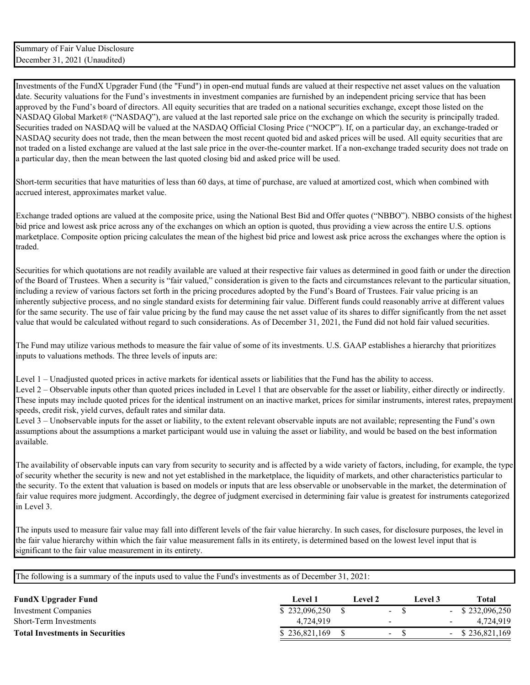Investments of the FundX Upgrader Fund (the "Fund") in open-end mutual funds are valued at their respective net asset values on the valuation date. Security valuations for the Fund's investments in investment companies are furnished by an independent pricing service that has been approved by the Fund's board of directors. All equity securities that are traded on a national securities exchange, except those listed on the NASDAQ Global Market® ("NASDAQ"), are valued at the last reported sale price on the exchange on which the security is principally traded. Securities traded on NASDAQ will be valued at the NASDAQ Official Closing Price ("NOCP"). If, on a particular day, an exchange-traded or NASDAQ security does not trade, then the mean between the most recent quoted bid and asked prices will be used. All equity securities that are not traded on a listed exchange are valued at the last sale price in the over-the-counter market. If a non-exchange traded security does not trade on a particular day, then the mean between the last quoted closing bid and asked price will be used.

Short-term securities that have maturities of less than 60 days, at time of purchase, are valued at amortized cost, which when combined with accrued interest, approximates market value.

Exchange traded options are valued at the composite price, using the National Best Bid and Offer quotes ("NBBO"). NBBO consists of the highest bid price and lowest ask price across any of the exchanges on which an option is quoted, thus providing a view across the entire U.S. options marketplace. Composite option pricing calculates the mean of the highest bid price and lowest ask price across the exchanges where the option is traded.

Securities for which quotations are not readily available are valued at their respective fair values as determined in good faith or under the direction of the Board of Trustees. When a security is "fair valued," consideration is given to the facts and circumstances relevant to the particular situation, including a review of various factors set forth in the pricing procedures adopted by the Fund's Board of Trustees. Fair value pricing is an inherently subjective process, and no single standard exists for determining fair value. Different funds could reasonably arrive at different values for the same security. The use of fair value pricing by the fund may cause the net asset value of its shares to differ significantly from the net asset value that would be calculated without regard to such considerations. As of December 31, 2021, the Fund did not hold fair valued securities.

The Fund may utilize various methods to measure the fair value of some of its investments. U.S. GAAP establishes a hierarchy that prioritizes inputs to valuations methods. The three levels of inputs are:

Level 1 – Unadjusted quoted prices in active markets for identical assets or liabilities that the Fund has the ability to access. Level 2 – Observable inputs other than quoted prices included in Level 1 that are observable for the asset or liability, either directly or indirectly. These inputs may include quoted prices for the identical instrument on an inactive market, prices for similar instruments, interest rates, prepayment speeds, credit risk, yield curves, default rates and similar data.

Level 3 – Unobservable inputs for the asset or liability, to the extent relevant observable inputs are not available; representing the Fund's own assumptions about the assumptions a market participant would use in valuing the asset or liability, and would be based on the best information available.

The availability of observable inputs can vary from security to security and is affected by a wide variety of factors, including, for example, the type of security whether the security is new and not yet established in the marketplace, the liquidity of markets, and other characteristics particular to the security. To the extent that valuation is based on models or inputs that are less observable or unobservable in the market, the determination of fair value requires more judgment. Accordingly, the degree of judgment exercised in determining fair value is greatest for instruments categorized in Level 3.

The inputs used to measure fair value may fall into different levels of the fair value hierarchy. In such cases, for disclosure purposes, the level in the fair value hierarchy within which the fair value measurement falls in its entirety, is determined based on the lowest level input that is significant to the fair value measurement in its entirety.

| <b>FundX Upgrader Fund</b>             | Level 1       | Level 2 |        | Level 3 | <b>Total</b>       |
|----------------------------------------|---------------|---------|--------|---------|--------------------|
| Investment Companies                   | \$232,096,250 |         | $\sim$ |         | $-$ \$ 232,096,250 |
| Short-Term Investments                 | 4.724.919     |         |        |         | 4.724.919          |
| <b>Total Investments in Securities</b> | \$236,821,169 |         | $\sim$ |         | $-$ \$ 236,821,169 |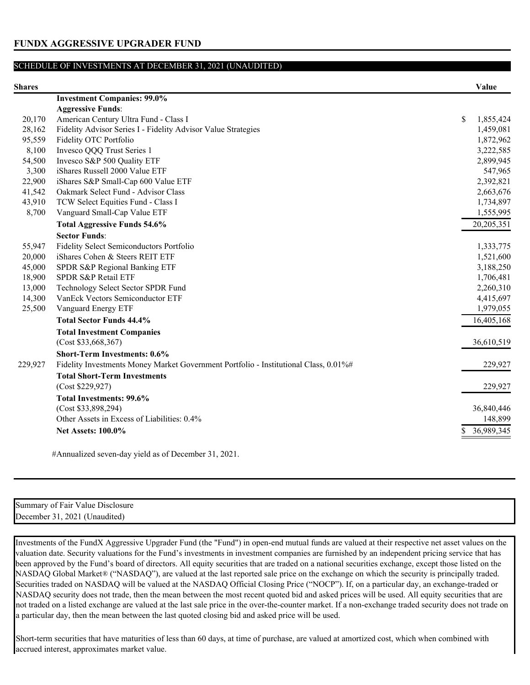| <b>Shares</b> |                                                                                      | Value                      |
|---------------|--------------------------------------------------------------------------------------|----------------------------|
|               | <b>Investment Companies: 99.0%</b>                                                   |                            |
|               | <b>Aggressive Funds:</b>                                                             |                            |
| 20,170        | American Century Ultra Fund - Class I                                                | <sup>\$</sup><br>1,855,424 |
| 28,162        | Fidelity Advisor Series I - Fidelity Advisor Value Strategies                        | 1,459,081                  |
| 95,559        | Fidelity OTC Portfolio                                                               | 1,872,962                  |
| 8,100         | Invesco QQQ Trust Series 1                                                           | 3,222,585                  |
| 54,500        | Invesco S&P 500 Quality ETF                                                          | 2,899,945                  |
| 3,300         | iShares Russell 2000 Value ETF                                                       | 547,965                    |
| 22,900        | iShares S&P Small-Cap 600 Value ETF                                                  | 2,392,821                  |
| 41,542        | Oakmark Select Fund - Advisor Class                                                  | 2,663,676                  |
| 43,910        | TCW Select Equities Fund - Class I                                                   | 1,734,897                  |
| 8,700         | Vanguard Small-Cap Value ETF                                                         | 1,555,995                  |
|               | <b>Total Aggressive Funds 54.6%</b>                                                  | 20,205,351                 |
|               | <b>Sector Funds:</b>                                                                 |                            |
| 55,947        | Fidelity Select Semiconductors Portfolio                                             | 1,333,775                  |
| 20,000        | iShares Cohen & Steers REIT ETF                                                      | 1,521,600                  |
| 45,000        | SPDR S&P Regional Banking ETF                                                        | 3,188,250                  |
| 18,900        | SPDR S&P Retail ETF                                                                  | 1,706,481                  |
| 13,000        | Technology Select Sector SPDR Fund                                                   | 2,260,310                  |
| 14,300        | VanEck Vectors Semiconductor ETF                                                     | 4,415,697                  |
| 25,500        | Vanguard Energy ETF                                                                  | 1,979,055                  |
|               | <b>Total Sector Funds 44.4%</b>                                                      | 16,405,168                 |
|               | <b>Total Investment Companies</b>                                                    |                            |
|               | (Cost \$33,668,367)                                                                  | 36,610,519                 |
|               | <b>Short-Term Investments: 0.6%</b>                                                  |                            |
| 229,927       | Fidelity Investments Money Market Government Portfolio - Institutional Class, 0.01%# | 229,927                    |
|               | <b>Total Short-Term Investments</b>                                                  |                            |
|               | (Cost \$229,927)                                                                     | 229,927                    |
|               | <b>Total Investments: 99.6%</b>                                                      |                            |
|               | (Cost \$33,898,294)                                                                  | 36,840,446                 |
|               | Other Assets in Excess of Liabilities: 0.4%                                          | 148,899                    |
|               | <b>Net Assets: 100.0%</b>                                                            | 36,989,345                 |
|               |                                                                                      |                            |

#Annualized seven-day yield as of December 31, 2021.

| Summary<br>'Jisclosure<br>Value<br>of Fair |  |
|--------------------------------------------|--|
| December 31<br>202<br>Unaudited            |  |

Investments of the FundX Aggressive Upgrader Fund (the "Fund") in open-end mutual funds are valued at their respective net asset values on the valuation date. Security valuations for the Fund's investments in investment companies are furnished by an independent pricing service that has been approved by the Fund's board of directors. All equity securities that are traded on a national securities exchange, except those listed on the NASDAQ Global Market® ("NASDAQ"), are valued at the last reported sale price on the exchange on which the security is principally traded. Securities traded on NASDAQ will be valued at the NASDAQ Official Closing Price ("NOCP"). If, on a particular day, an exchange-traded or NASDAQ security does not trade, then the mean between the most recent quoted bid and asked prices will be used. All equity securities that are not traded on a listed exchange are valued at the last sale price in the over-the-counter market. If a non-exchange traded security does not trade on a particular day, then the mean between the last quoted closing bid and asked price will be used.

Short-term securities that have maturities of less than 60 days, at time of purchase, are valued at amortized cost, which when combined with accrued interest, approximates market value.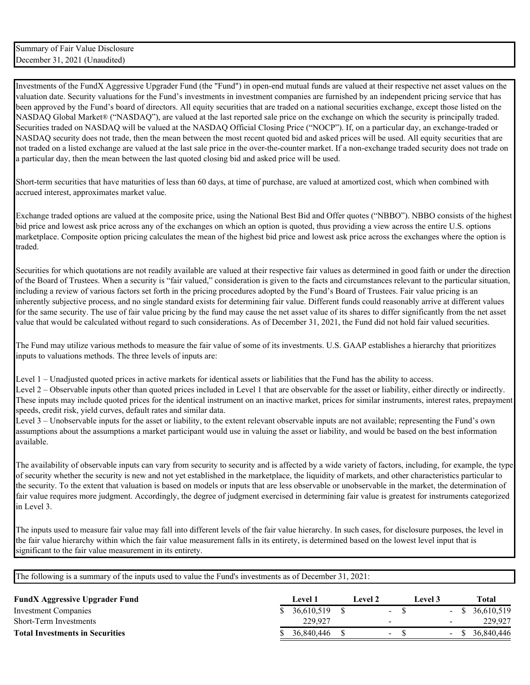Investments of the FundX Aggressive Upgrader Fund (the "Fund") in open-end mutual funds are valued at their respective net asset values on the valuation date. Security valuations for the Fund's investments in investment companies are furnished by an independent pricing service that has been approved by the Fund's board of directors. All equity securities that are traded on a national securities exchange, except those listed on the NASDAQ Global Market® ("NASDAQ"), are valued at the last reported sale price on the exchange on which the security is principally traded. Securities traded on NASDAQ will be valued at the NASDAQ Official Closing Price ("NOCP"). If, on a particular day, an exchange-traded or NASDAQ security does not trade, then the mean between the most recent quoted bid and asked prices will be used. All equity securities that are not traded on a listed exchange are valued at the last sale price in the over-the-counter market. If a non-exchange traded security does not trade on a particular day, then the mean between the last quoted closing bid and asked price will be used.

Short-term securities that have maturities of less than 60 days, at time of purchase, are valued at amortized cost, which when combined with accrued interest, approximates market value.

Exchange traded options are valued at the composite price, using the National Best Bid and Offer quotes ("NBBO"). NBBO consists of the highest bid price and lowest ask price across any of the exchanges on which an option is quoted, thus providing a view across the entire U.S. options marketplace. Composite option pricing calculates the mean of the highest bid price and lowest ask price across the exchanges where the option is traded.

Securities for which quotations are not readily available are valued at their respective fair values as determined in good faith or under the direction of the Board of Trustees. When a security is "fair valued," consideration is given to the facts and circumstances relevant to the particular situation, including a review of various factors set forth in the pricing procedures adopted by the Fund's Board of Trustees. Fair value pricing is an inherently subjective process, and no single standard exists for determining fair value. Different funds could reasonably arrive at different values for the same security. The use of fair value pricing by the fund may cause the net asset value of its shares to differ significantly from the net asset value that would be calculated without regard to such considerations. As of December 31, 2021, the Fund did not hold fair valued securities.

The Fund may utilize various methods to measure the fair value of some of its investments. U.S. GAAP establishes a hierarchy that prioritizes inputs to valuations methods. The three levels of inputs are:

Level 1 – Unadjusted quoted prices in active markets for identical assets or liabilities that the Fund has the ability to access. Level 2 – Observable inputs other than quoted prices included in Level 1 that are observable for the asset or liability, either directly or indirectly. These inputs may include quoted prices for the identical instrument on an inactive market, prices for similar instruments, interest rates, prepayment speeds, credit risk, yield curves, default rates and similar data.

Level 3 – Unobservable inputs for the asset or liability, to the extent relevant observable inputs are not available; representing the Fund's own assumptions about the assumptions a market participant would use in valuing the asset or liability, and would be based on the best information available.

The availability of observable inputs can vary from security to security and is affected by a wide variety of factors, including, for example, the type of security whether the security is new and not yet established in the marketplace, the liquidity of markets, and other characteristics particular to the security. To the extent that valuation is based on models or inputs that are less observable or unobservable in the market, the determination of fair value requires more judgment. Accordingly, the degree of judgment exercised in determining fair value is greatest for instruments categorized in Level 3.

The inputs used to measure fair value may fall into different levels of the fair value hierarchy. In such cases, for disclosure purposes, the level in the fair value hierarchy within which the fair value measurement falls in its entirety, is determined based on the lowest level input that is significant to the fair value measurement in its entirety.

| <b>FundX Aggressive Upgrader Fund</b>  | <b>Level</b> 1 | Level 2 |                              | Level 3 |        | Total             |
|----------------------------------------|----------------|---------|------------------------------|---------|--------|-------------------|
| Investment Companies                   | 36,610,519     |         | $\qquad \qquad \blacksquare$ |         |        | $-$ \$ 36,610,519 |
| <b>Short-Term Investments</b>          | 229,927        |         |                              |         | -      | 229,927           |
| <b>Total Investments in Securities</b> | 36,840,446     |         | $\sim$                       |         | $\sim$ | 36,840,446        |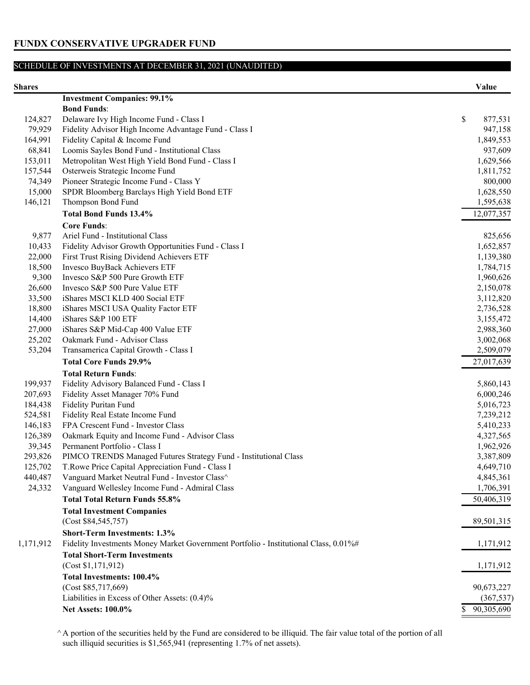| яr<br>ш |  |
|---------|--|
|---------|--|

| Shares    |                                                                                      | Value                  |
|-----------|--------------------------------------------------------------------------------------|------------------------|
|           | <b>Investment Companies: 99.1%</b>                                                   |                        |
|           | <b>Bond Funds:</b>                                                                   |                        |
| 124,827   | Delaware Ivy High Income Fund - Class I                                              | \$<br>877,531          |
| 79,929    | Fidelity Advisor High Income Advantage Fund - Class I                                | 947,158                |
| 164,991   | Fidelity Capital & Income Fund                                                       | 1,849,553              |
| 68,841    | Loomis Sayles Bond Fund - Institutional Class                                        | 937,609                |
| 153,011   | Metropolitan West High Yield Bond Fund - Class I                                     | 1,629,566              |
| 157,544   | Osterweis Strategic Income Fund                                                      | 1,811,752              |
| 74,349    | Pioneer Strategic Income Fund - Class Y                                              | 800,000                |
| 15,000    | SPDR Bloomberg Barclays High Yield Bond ETF                                          | 1,628,550              |
| 146,121   | Thompson Bond Fund                                                                   | 1,595,638              |
|           | <b>Total Bond Funds 13.4%</b>                                                        | 12,077,357             |
|           | <b>Core Funds:</b>                                                                   |                        |
| 9,877     | Ariel Fund - Institutional Class                                                     | 825,656                |
| 10,433    | Fidelity Advisor Growth Opportunities Fund - Class I                                 | 1,652,857              |
| 22,000    | First Trust Rising Dividend Achievers ETF                                            | 1,139,380              |
| 18,500    | Invesco BuyBack Achievers ETF                                                        | 1,784,715              |
| 9,300     | Invesco S&P 500 Pure Growth ETF                                                      | 1,960,626              |
| 26,600    | Invesco S&P 500 Pure Value ETF                                                       | 2,150,078              |
| 33,500    | iShares MSCI KLD 400 Social ETF                                                      | 3,112,820              |
| 18,800    | iShares MSCI USA Quality Factor ETF                                                  |                        |
| 14,400    | iShares S&P 100 ETF                                                                  | 2,736,528              |
| 27,000    | iShares S&P Mid-Cap 400 Value ETF                                                    | 3,155,472<br>2,988,360 |
| 25,202    | Oakmark Fund - Advisor Class                                                         |                        |
| 53,204    |                                                                                      | 3,002,068<br>2,509,079 |
|           | Transamerica Capital Growth - Class I<br><b>Total Core Funds 29.9%</b>               | 27,017,639             |
|           |                                                                                      |                        |
|           | <b>Total Return Funds:</b>                                                           |                        |
| 199,937   | Fidelity Advisory Balanced Fund - Class I                                            | 5,860,143              |
| 207,693   | Fidelity Asset Manager 70% Fund                                                      | 6,000,246              |
| 184,438   | Fidelity Puritan Fund                                                                | 5,016,723              |
| 524,581   | Fidelity Real Estate Income Fund                                                     | 7,239,212              |
| 146,183   | FPA Crescent Fund - Investor Class                                                   | 5,410,233              |
| 126,389   | Oakmark Equity and Income Fund - Advisor Class                                       | 4,327,565              |
| 39,345    | Permanent Portfolio - Class I                                                        | 1,962,926              |
| 293,826   | PIMCO TRENDS Managed Futures Strategy Fund - Institutional Class                     | 3,387,809              |
| 125,702   | T. Rowe Price Capital Appreciation Fund - Class I                                    | 4,649,710              |
| 440,487   | Vanguard Market Neutral Fund - Investor Class^                                       | 4,845,361              |
| 24,332    | Vanguard Wellesley Income Fund - Admiral Class                                       | 1,706,391              |
|           | <b>Total Total Return Funds 55.8%</b>                                                | 50,406,319             |
|           | <b>Total Investment Companies</b>                                                    |                        |
|           | (Cost \$84,545,757)                                                                  | 89,501,315             |
|           | <b>Short-Term Investments: 1.3%</b>                                                  |                        |
| 1,171,912 | Fidelity Investments Money Market Government Portfolio - Institutional Class, 0.01%# | 1,171,912              |
|           | <b>Total Short-Term Investments</b>                                                  |                        |
|           | (Cost \$1,171,912)                                                                   | 1,171,912              |
|           | Total Investments: 100.4%                                                            |                        |
|           | (Cost \$85,717,669)                                                                  | 90,673,227             |
|           | Liabilities in Excess of Other Assets: (0.4)%                                        | (367, 537)             |
|           | <b>Net Assets: 100.0%</b>                                                            | 90,305,690<br>S        |
|           |                                                                                      |                        |

^ A portion of the securities held by the Fund are considered to be illiquid. The fair value total of the portion of all such illiquid securities is \$1,565,941 (representing 1.7% of net assets).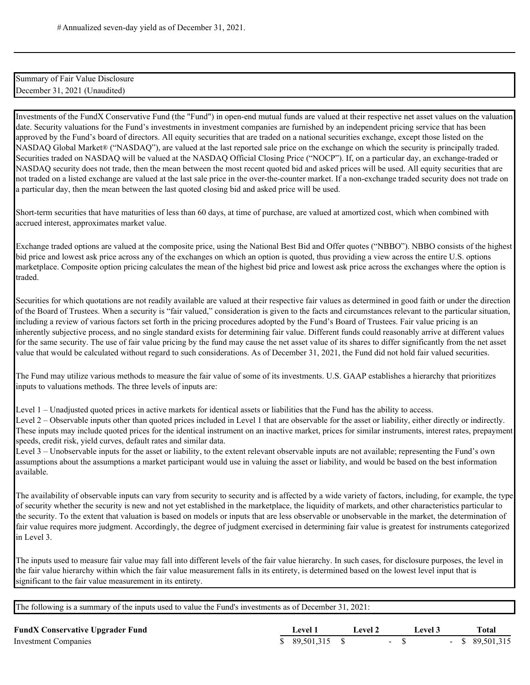| Summary of Fair Value Disclosure |  |
|----------------------------------|--|
| December 31, 2021 (Unaudited)    |  |

Investments of the FundX Conservative Fund (the "Fund") in open-end mutual funds are valued at their respective net asset values on the valuation date. Security valuations for the Fund's investments in investment companies are furnished by an independent pricing service that has been approved by the Fund's board of directors. All equity securities that are traded on a national securities exchange, except those listed on the NASDAQ Global Market® ("NASDAQ"), are valued at the last reported sale price on the exchange on which the security is principally traded. Securities traded on NASDAQ will be valued at the NASDAQ Official Closing Price ("NOCP"). If, on a particular day, an exchange-traded or NASDAQ security does not trade, then the mean between the most recent quoted bid and asked prices will be used. All equity securities that are not traded on a listed exchange are valued at the last sale price in the over-the-counter market. If a non-exchange traded security does not trade on a particular day, then the mean between the last quoted closing bid and asked price will be used.

Short-term securities that have maturities of less than 60 days, at time of purchase, are valued at amortized cost, which when combined with accrued interest, approximates market value.

Exchange traded options are valued at the composite price, using the National Best Bid and Offer quotes ("NBBO"). NBBO consists of the highest bid price and lowest ask price across any of the exchanges on which an option is quoted, thus providing a view across the entire U.S. options marketplace. Composite option pricing calculates the mean of the highest bid price and lowest ask price across the exchanges where the option is traded.

Securities for which quotations are not readily available are valued at their respective fair values as determined in good faith or under the direction of the Board of Trustees. When a security is "fair valued," consideration is given to the facts and circumstances relevant to the particular situation, including a review of various factors set forth in the pricing procedures adopted by the Fund's Board of Trustees. Fair value pricing is an inherently subjective process, and no single standard exists for determining fair value. Different funds could reasonably arrive at different values for the same security. The use of fair value pricing by the fund may cause the net asset value of its shares to differ significantly from the net asset value that would be calculated without regard to such considerations. As of December 31, 2021, the Fund did not hold fair valued securities.

The Fund may utilize various methods to measure the fair value of some of its investments. U.S. GAAP establishes a hierarchy that prioritizes inputs to valuations methods. The three levels of inputs are:

Level 1 – Unadjusted quoted prices in active markets for identical assets or liabilities that the Fund has the ability to access.

Level 2 – Observable inputs other than quoted prices included in Level 1 that are observable for the asset or liability, either directly or indirectly. These inputs may include quoted prices for the identical instrument on an inactive market, prices for similar instruments, interest rates, prepayment speeds, credit risk, yield curves, default rates and similar data.

Level 3 – Unobservable inputs for the asset or liability, to the extent relevant observable inputs are not available; representing the Fund's own assumptions about the assumptions a market participant would use in valuing the asset or liability, and would be based on the best information available.

The availability of observable inputs can vary from security to security and is affected by a wide variety of factors, including, for example, the type of security whether the security is new and not yet established in the marketplace, the liquidity of markets, and other characteristics particular to the security. To the extent that valuation is based on models or inputs that are less observable or unobservable in the market, the determination of fair value requires more judgment. Accordingly, the degree of judgment exercised in determining fair value is greatest for instruments categorized in Level 3.

The inputs used to measure fair value may fall into different levels of the fair value hierarchy. In such cases, for disclosure purposes, the level in the fair value hierarchy within which the fair value measurement falls in its entirety, is determined based on the lowest level input that is significant to the fair value measurement in its entirety.

| <b>FundX Conservative Upgrader Fund</b> | Level 1      | Level 2 | Level 3 |  | <b>Total</b>      |
|-----------------------------------------|--------------|---------|---------|--|-------------------|
| Investment Companies                    | \$89,501,315 |         |         |  | $-$ \$ 89,501,315 |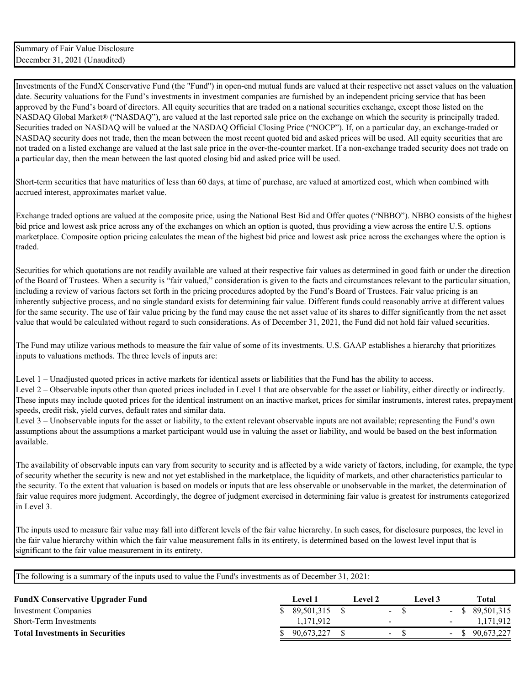Investments of the FundX Conservative Fund (the "Fund") in open-end mutual funds are valued at their respective net asset values on the valuation date. Security valuations for the Fund's investments in investment companies are furnished by an independent pricing service that has been approved by the Fund's board of directors. All equity securities that are traded on a national securities exchange, except those listed on the NASDAQ Global Market® ("NASDAQ"), are valued at the last reported sale price on the exchange on which the security is principally traded. Securities traded on NASDAQ will be valued at the NASDAQ Official Closing Price ("NOCP"). If, on a particular day, an exchange-traded or NASDAQ security does not trade, then the mean between the most recent quoted bid and asked prices will be used. All equity securities that are not traded on a listed exchange are valued at the last sale price in the over-the-counter market. If a non-exchange traded security does not trade on a particular day, then the mean between the last quoted closing bid and asked price will be used.

Short-term securities that have maturities of less than 60 days, at time of purchase, are valued at amortized cost, which when combined with accrued interest, approximates market value.

Exchange traded options are valued at the composite price, using the National Best Bid and Offer quotes ("NBBO"). NBBO consists of the highest bid price and lowest ask price across any of the exchanges on which an option is quoted, thus providing a view across the entire U.S. options marketplace. Composite option pricing calculates the mean of the highest bid price and lowest ask price across the exchanges where the option is traded.

Securities for which quotations are not readily available are valued at their respective fair values as determined in good faith or under the direction of the Board of Trustees. When a security is "fair valued," consideration is given to the facts and circumstances relevant to the particular situation, including a review of various factors set forth in the pricing procedures adopted by the Fund's Board of Trustees. Fair value pricing is an inherently subjective process, and no single standard exists for determining fair value. Different funds could reasonably arrive at different values for the same security. The use of fair value pricing by the fund may cause the net asset value of its shares to differ significantly from the net asset value that would be calculated without regard to such considerations. As of December 31, 2021, the Fund did not hold fair valued securities.

The Fund may utilize various methods to measure the fair value of some of its investments. U.S. GAAP establishes a hierarchy that prioritizes inputs to valuations methods. The three levels of inputs are:

Level 1 – Unadjusted quoted prices in active markets for identical assets or liabilities that the Fund has the ability to access. Level 2 – Observable inputs other than quoted prices included in Level 1 that are observable for the asset or liability, either directly or indirectly. These inputs may include quoted prices for the identical instrument on an inactive market, prices for similar instruments, interest rates, prepayment speeds, credit risk, yield curves, default rates and similar data.

Level 3 – Unobservable inputs for the asset or liability, to the extent relevant observable inputs are not available; representing the Fund's own assumptions about the assumptions a market participant would use in valuing the asset or liability, and would be based on the best information available.

The availability of observable inputs can vary from security to security and is affected by a wide variety of factors, including, for example, the type of security whether the security is new and not yet established in the marketplace, the liquidity of markets, and other characteristics particular to the security. To the extent that valuation is based on models or inputs that are less observable or unobservable in the market, the determination of fair value requires more judgment. Accordingly, the degree of judgment exercised in determining fair value is greatest for instruments categorized in Level 3.

The inputs used to measure fair value may fall into different levels of the fair value hierarchy. In such cases, for disclosure purposes, the level in the fair value hierarchy within which the fair value measurement falls in its entirety, is determined based on the lowest level input that is significant to the fair value measurement in its entirety.

| <b>Level</b> 1 |              | Level 2- | Level 3                                          | Total             |
|----------------|--------------|----------|--------------------------------------------------|-------------------|
|                |              |          |                                                  | $-$ \$ 89,501,315 |
| 1.171.912      |              |          |                                                  | 1.171.912         |
| 90.673.227     |              |          |                                                  | \$ 90.673,227     |
|                | \$89,501,315 |          | $\sim 100$<br>$\overline{\phantom{0}}$<br>$\sim$ | $\sim$<br>$\sim$  |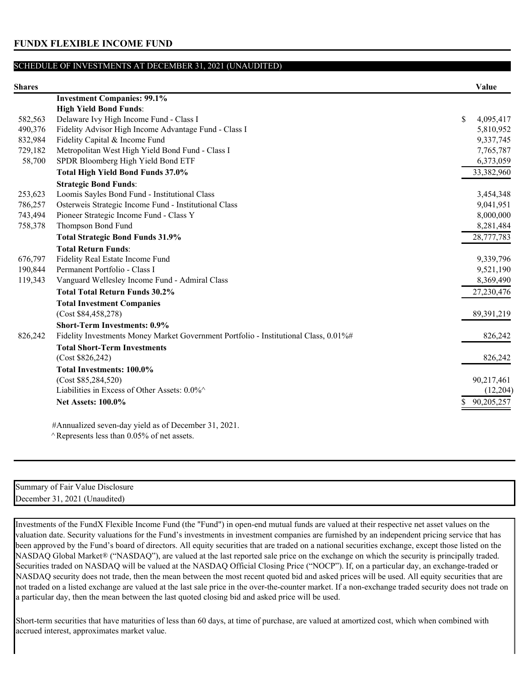| <b>Shares</b> |                                                                                      | Value           |
|---------------|--------------------------------------------------------------------------------------|-----------------|
|               | <b>Investment Companies: 99.1%</b>                                                   |                 |
|               | <b>High Yield Bond Funds:</b>                                                        |                 |
| 582,563       | Delaware Ivy High Income Fund - Class I                                              | \$<br>4,095,417 |
| 490,376       | Fidelity Advisor High Income Advantage Fund - Class I                                | 5,810,952       |
| 832,984       | Fidelity Capital & Income Fund                                                       | 9,337,745       |
| 729,182       | Metropolitan West High Yield Bond Fund - Class I                                     | 7,765,787       |
| 58,700        | SPDR Bloomberg High Yield Bond ETF                                                   | 6,373,059       |
|               | Total High Yield Bond Funds 37.0%                                                    | 33,382,960      |
|               | <b>Strategic Bond Funds:</b>                                                         |                 |
| 253,623       | Loomis Sayles Bond Fund - Institutional Class                                        | 3,454,348       |
| 786,257       | Osterweis Strategic Income Fund - Institutional Class                                | 9,041,951       |
| 743,494       | Pioneer Strategic Income Fund - Class Y                                              | 8,000,000       |
| 758,378       | Thompson Bond Fund                                                                   | 8,281,484       |
|               | <b>Total Strategic Bond Funds 31.9%</b>                                              | 28,777,783      |
|               | <b>Total Return Funds:</b>                                                           |                 |
| 676,797       | Fidelity Real Estate Income Fund                                                     | 9,339,796       |
| 190,844       | Permanent Portfolio - Class I                                                        | 9,521,190       |
| 119,343       | Vanguard Wellesley Income Fund - Admiral Class                                       | 8,369,490       |
|               | <b>Total Total Return Funds 30.2%</b>                                                | 27,230,476      |
|               | <b>Total Investment Companies</b>                                                    |                 |
|               | (Cost \$84,458,278)                                                                  | 89,391,219      |
|               | <b>Short-Term Investments: 0.9%</b>                                                  |                 |
| 826,242       | Fidelity Investments Money Market Government Portfolio - Institutional Class, 0.01%# | 826,242         |
|               | <b>Total Short-Term Investments</b>                                                  |                 |
|               | (Cost \$826,242)                                                                     | 826,242         |
|               | <b>Total Investments: 100.0%</b>                                                     |                 |
|               | (Cost \$85,284,520)                                                                  | 90,217,461      |
|               | Liabilities in Excess of Other Assets: 0.0%^                                         | (12,204)        |
|               | <b>Net Assets: 100.0%</b>                                                            | 90,205,257      |
|               | $#A$ unualized cover dovisial as of December 21, 2021                                |                 |

#Annualized seven-day yield as of December 31, 2021.  $\land$  Represents less than 0.05% of net assets.

| $\sim$ $\cdot$<br>Summary of Fair Value<br>Disclosure |  |
|-------------------------------------------------------|--|
| (Unaudited)<br>December 31<br>2021                    |  |

Investments of the FundX Flexible Income Fund (the "Fund") in open-end mutual funds are valued at their respective net asset values on the valuation date. Security valuations for the Fund's investments in investment companies are furnished by an independent pricing service that has been approved by the Fund's board of directors. All equity securities that are traded on a national securities exchange, except those listed on the NASDAQ Global Market® ("NASDAQ"), are valued at the last reported sale price on the exchange on which the security is principally traded. Securities traded on NASDAQ will be valued at the NASDAQ Official Closing Price ("NOCP"). If, on a particular day, an exchange-traded or NASDAQ security does not trade, then the mean between the most recent quoted bid and asked prices will be used. All equity securities that are not traded on a listed exchange are valued at the last sale price in the over-the-counter market. If a non-exchange traded security does not trade on a particular day, then the mean between the last quoted closing bid and asked price will be used.

Short-term securities that have maturities of less than 60 days, at time of purchase, are valued at amortized cost, which when combined with accrued interest, approximates market value.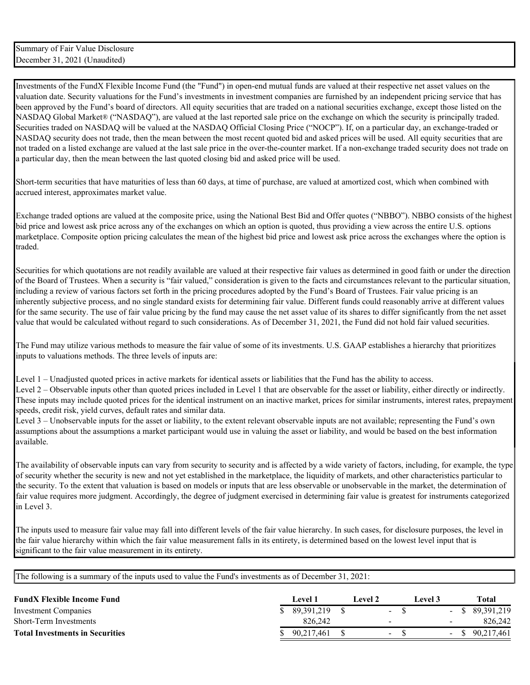Investments of the FundX Flexible Income Fund (the "Fund") in open-end mutual funds are valued at their respective net asset values on the valuation date. Security valuations for the Fund's investments in investment companies are furnished by an independent pricing service that has been approved by the Fund's board of directors. All equity securities that are traded on a national securities exchange, except those listed on the NASDAQ Global Market® ("NASDAQ"), are valued at the last reported sale price on the exchange on which the security is principally traded. Securities traded on NASDAQ will be valued at the NASDAQ Official Closing Price ("NOCP"). If, on a particular day, an exchange-traded or NASDAQ security does not trade, then the mean between the most recent quoted bid and asked prices will be used. All equity securities that are not traded on a listed exchange are valued at the last sale price in the over-the-counter market. If a non-exchange traded security does not trade on a particular day, then the mean between the last quoted closing bid and asked price will be used.

Short-term securities that have maturities of less than 60 days, at time of purchase, are valued at amortized cost, which when combined with accrued interest, approximates market value.

Exchange traded options are valued at the composite price, using the National Best Bid and Offer quotes ("NBBO"). NBBO consists of the highest bid price and lowest ask price across any of the exchanges on which an option is quoted, thus providing a view across the entire U.S. options marketplace. Composite option pricing calculates the mean of the highest bid price and lowest ask price across the exchanges where the option is traded.

Securities for which quotations are not readily available are valued at their respective fair values as determined in good faith or under the direction of the Board of Trustees. When a security is "fair valued," consideration is given to the facts and circumstances relevant to the particular situation, including a review of various factors set forth in the pricing procedures adopted by the Fund's Board of Trustees. Fair value pricing is an inherently subjective process, and no single standard exists for determining fair value. Different funds could reasonably arrive at different values for the same security. The use of fair value pricing by the fund may cause the net asset value of its shares to differ significantly from the net asset value that would be calculated without regard to such considerations. As of December 31, 2021, the Fund did not hold fair valued securities.

The Fund may utilize various methods to measure the fair value of some of its investments. U.S. GAAP establishes a hierarchy that prioritizes inputs to valuations methods. The three levels of inputs are:

Level 1 – Unadjusted quoted prices in active markets for identical assets or liabilities that the Fund has the ability to access. Level 2 – Observable inputs other than quoted prices included in Level 1 that are observable for the asset or liability, either directly or indirectly. These inputs may include quoted prices for the identical instrument on an inactive market, prices for similar instruments, interest rates, prepayment speeds, credit risk, yield curves, default rates and similar data.

Level 3 – Unobservable inputs for the asset or liability, to the extent relevant observable inputs are not available; representing the Fund's own assumptions about the assumptions a market participant would use in valuing the asset or liability, and would be based on the best information available.

The availability of observable inputs can vary from security to security and is affected by a wide variety of factors, including, for example, the type of security whether the security is new and not yet established in the marketplace, the liquidity of markets, and other characteristics particular to the security. To the extent that valuation is based on models or inputs that are less observable or unobservable in the market, the determination of fair value requires more judgment. Accordingly, the degree of judgment exercised in determining fair value is greatest for instruments categorized in Level 3.

The inputs used to measure fair value may fall into different levels of the fair value hierarchy. In such cases, for disclosure purposes, the level in the fair value hierarchy within which the fair value measurement falls in its entirety, is determined based on the lowest level input that is significant to the fair value measurement in its entirety.

| <b>FundX Flexible Income Fund</b>      |  | Level 1    | Level 2 | Level 3 | <b>Total</b>      |
|----------------------------------------|--|------------|---------|---------|-------------------|
| Investment Companies                   |  | 89.391.219 | $\sim$  |         | $-$ \$ 89,391,219 |
| Short-Term Investments                 |  | 826,242    | $\sim$  | $\sim$  | 826,242           |
| <b>Total Investments in Securities</b> |  | 90,217,461 | $\sim$  |         | $-$ \$ 90,217,461 |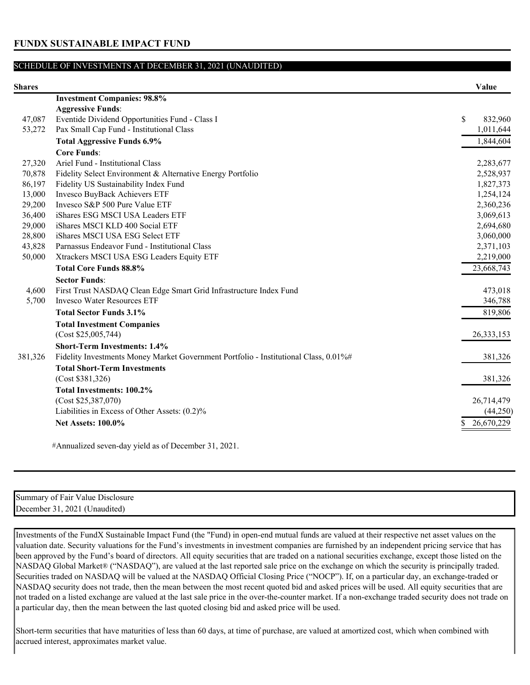**FUNDX SUSTAINABLE IMPACT FUND**

### SCHEDULE OF INVESTMENTS AT DECEMBER 31, 2021 (UNAUDITED)

| <b>Shares</b> |                                                                                      | Value         |
|---------------|--------------------------------------------------------------------------------------|---------------|
|               | <b>Investment Companies: 98.8%</b>                                                   |               |
|               | <b>Aggressive Funds:</b>                                                             |               |
| 47,087        | Eventide Dividend Opportunities Fund - Class I                                       | \$<br>832,960 |
| 53,272        | Pax Small Cap Fund - Institutional Class                                             | 1,011,644     |
|               | <b>Total Aggressive Funds 6.9%</b>                                                   | 1,844,604     |
|               | <b>Core Funds:</b>                                                                   |               |
| 27,320        | Ariel Fund - Institutional Class                                                     | 2,283,677     |
| 70,878        | Fidelity Select Environment & Alternative Energy Portfolio                           | 2,528,937     |
| 86,197        | Fidelity US Sustainability Index Fund                                                | 1,827,373     |
| 13,000        | Invesco BuyBack Achievers ETF                                                        | 1,254,124     |
| 29,200        | Invesco S&P 500 Pure Value ETF                                                       | 2,360,236     |
| 36,400        | iShares ESG MSCI USA Leaders ETF                                                     | 3,069,613     |
| 29,000        | iShares MSCI KLD 400 Social ETF                                                      | 2,694,680     |
| 28,800        | iShares MSCI USA ESG Select ETF                                                      | 3,060,000     |
| 43,828        | Parnassus Endeavor Fund - Institutional Class                                        | 2,371,103     |
| 50,000        | Xtrackers MSCI USA ESG Leaders Equity ETF                                            | 2,219,000     |
|               | <b>Total Core Funds 88.8%</b>                                                        | 23,668,743    |
|               | <b>Sector Funds:</b>                                                                 |               |
| 4,600         | First Trust NASDAQ Clean Edge Smart Grid Infrastructure Index Fund                   | 473,018       |
| 5,700         | <b>Invesco Water Resources ETF</b>                                                   | 346,788       |
|               | <b>Total Sector Funds 3.1%</b>                                                       | 819,806       |
|               | <b>Total Investment Companies</b>                                                    |               |
|               | (Cost \$25,005,744)                                                                  | 26, 333, 153  |
|               | <b>Short-Term Investments: 1.4%</b>                                                  |               |
| 381,326       | Fidelity Investments Money Market Government Portfolio - Institutional Class, 0.01%# | 381,326       |
|               | <b>Total Short-Term Investments</b>                                                  |               |
|               | (Cost \$381,326)                                                                     | 381,326       |
|               | <b>Total Investments: 100.2%</b>                                                     |               |
|               | (Cost \$25,387,070)                                                                  | 26,714,479    |
|               | Liabilities in Excess of Other Assets: (0.2)%                                        | (44,250)      |
|               |                                                                                      | 26,670,229    |
|               | <b>Net Assets: 100.0%</b>                                                            |               |

#Annualized seven-day yield as of December 31, 2021.

| Disclosure<br>Summary of Fair Value    |
|----------------------------------------|
| (Unaudited)<br>2021<br>December.<br>31 |

Investments of the FundX Sustainable Impact Fund (the "Fund) in open-end mutual funds are valued at their respective net asset values on the valuation date. Security valuations for the Fund's investments in investment companies are furnished by an independent pricing service that has been approved by the Fund's board of directors. All equity securities that are traded on a national securities exchange, except those listed on the NASDAQ Global Market® ("NASDAQ"), are valued at the last reported sale price on the exchange on which the security is principally traded. Securities traded on NASDAQ will be valued at the NASDAQ Official Closing Price ("NOCP"). If, on a particular day, an exchange-traded or NASDAQ security does not trade, then the mean between the most recent quoted bid and asked prices will be used. All equity securities that are not traded on a listed exchange are valued at the last sale price in the over-the-counter market. If a non-exchange traded security does not trade on a particular day, then the mean between the last quoted closing bid and asked price will be used.

Short-term securities that have maturities of less than 60 days, at time of purchase, are valued at amortized cost, which when combined with accrued interest, approximates market value.